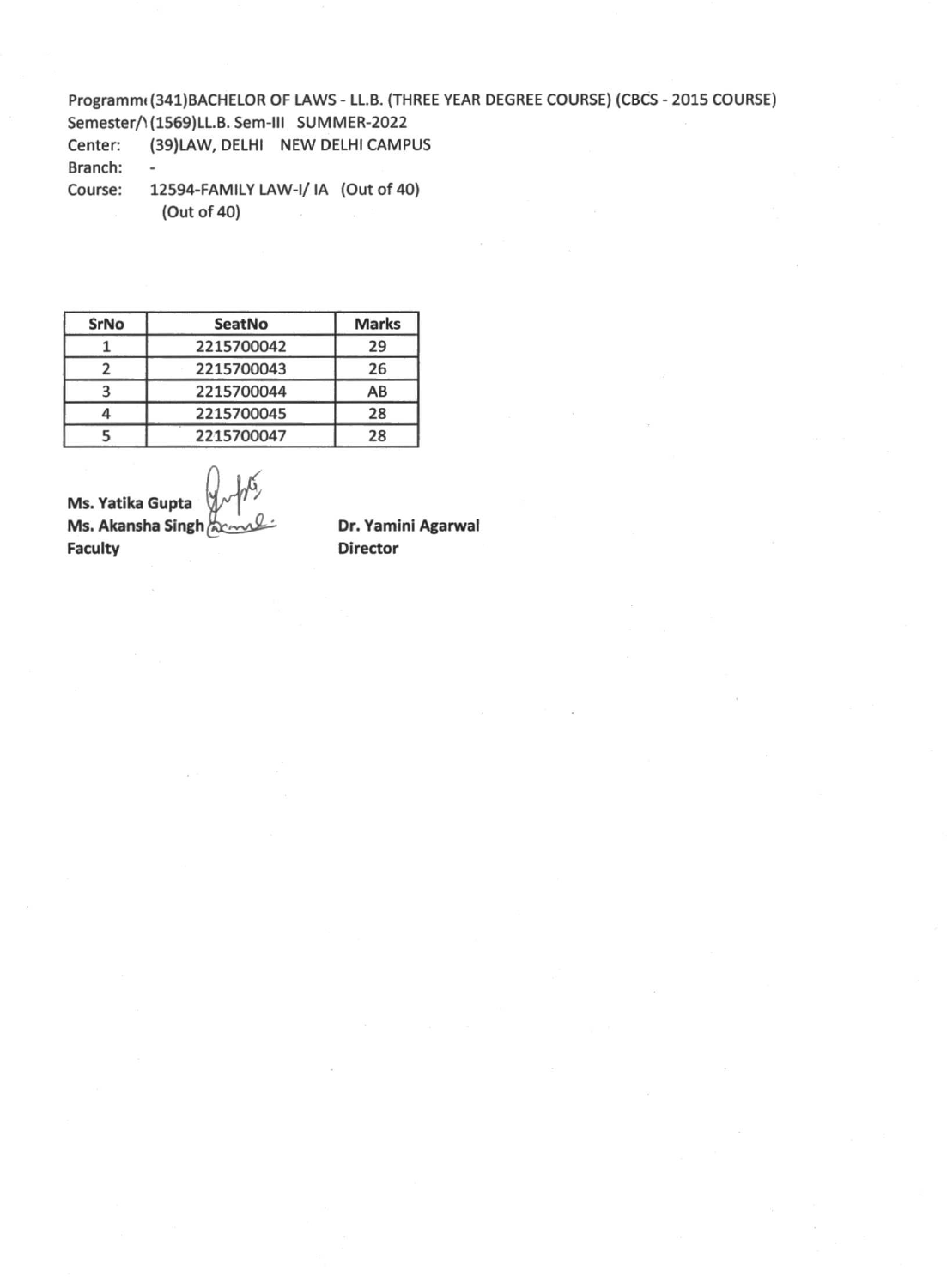## Programm( (341)BACHELOR OF LAWS - LL.B. (THREE YEAR DEGREE COURSE) (CBCS - 2015 COURSE) Semester/1(1569)LL.B. Sem-III SUMMER-2022

Center: (39)LAW, DELHI NEW DELHI CAMPUS Branch: -

Course: 12594-FAMILY LAW-I/ IA (Out of 40) (Out of 40)

| <b>SrNo</b> | <b>SeatNo</b> | <b>Marks</b> |
|-------------|---------------|--------------|
|             | 2215700042    | 29           |
|             | 2215700043    | 26           |
|             | 2215700044    | AB           |
|             | 2215700045    | 28           |
|             | 2215700047    | 28           |

**Ms. Yatika Gupta Ms. Akansha Singh Faculty**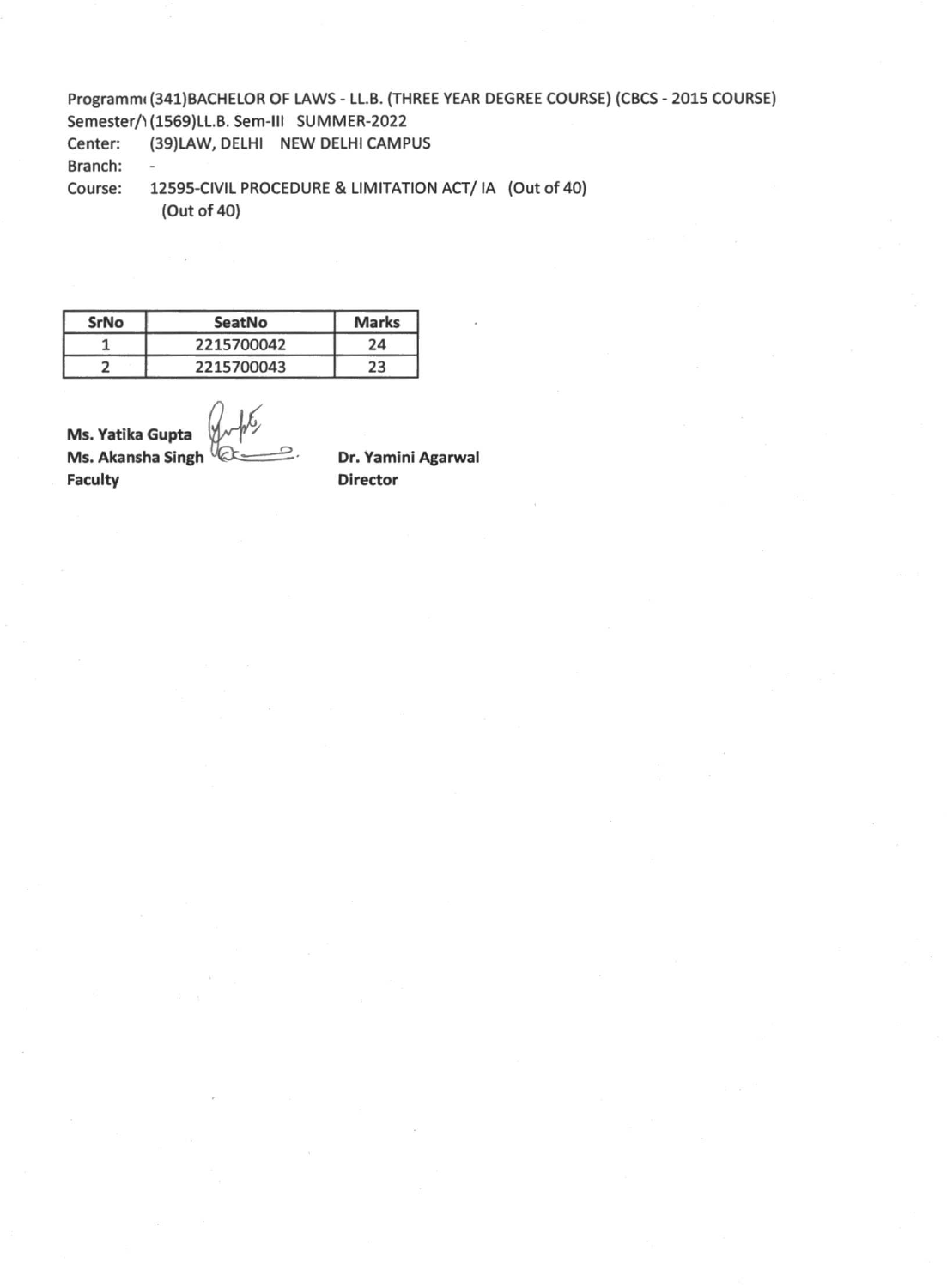Programmi (341)BACHELOR OF LAWS - LL.B. (THREE YEAR DEGREE COURSE) (CBCS - 2015 COURSE) Semester/1(1569)LL.B. Sem-III SUMMER-2022

Center: (39)LAW, DELHI NEW DELHI CAMPUS

Branch: -

Course: 12595-CIVIL PROCEDURE & LIMITATION ACT/ IA (Out of 40) (Out of 40)

| SrNo | SeatNo     | <b>Marks</b> |
|------|------------|--------------|
|      | 2215700042 | 24           |
|      | 2215700043 | 23           |

**Ms. Yatika Gupta Ms. Akansha Singh Faculty**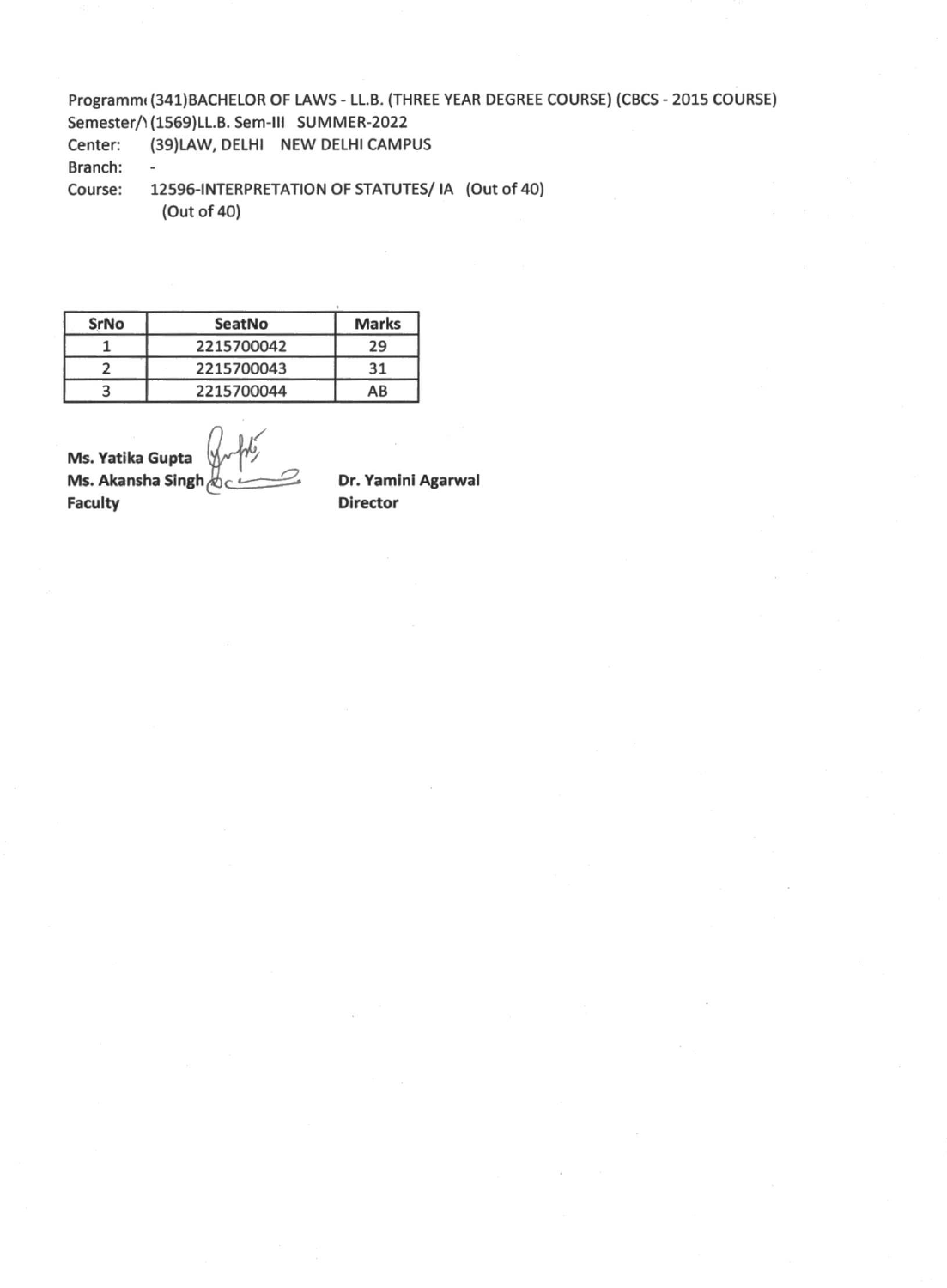Programmi (341)BACHELOR OF LAWS - LL.B. (THREE YEAR DEGREE COURSE) (CBCS - 2015 COURSE) Semester/1(1569)LL.B. Sem-III SUMMER-2022

Center: (39)LAW, DELHI NEW DELHI CAMPUS

Branch: -

Course: 12596-INTERPRETATION OF STATUTES/ IA (Out of 40) (Out of 40)

| SrNo | SeatNo     | <b>Marks</b> |
|------|------------|--------------|
|      | 2215700042 | 29           |
|      | 2215700043 | 31           |
|      | 2215700044 | AB           |

**Ms. Yatika Gupta Ms. Akansha Singh development Circuity**<br> **Director** 

**Director**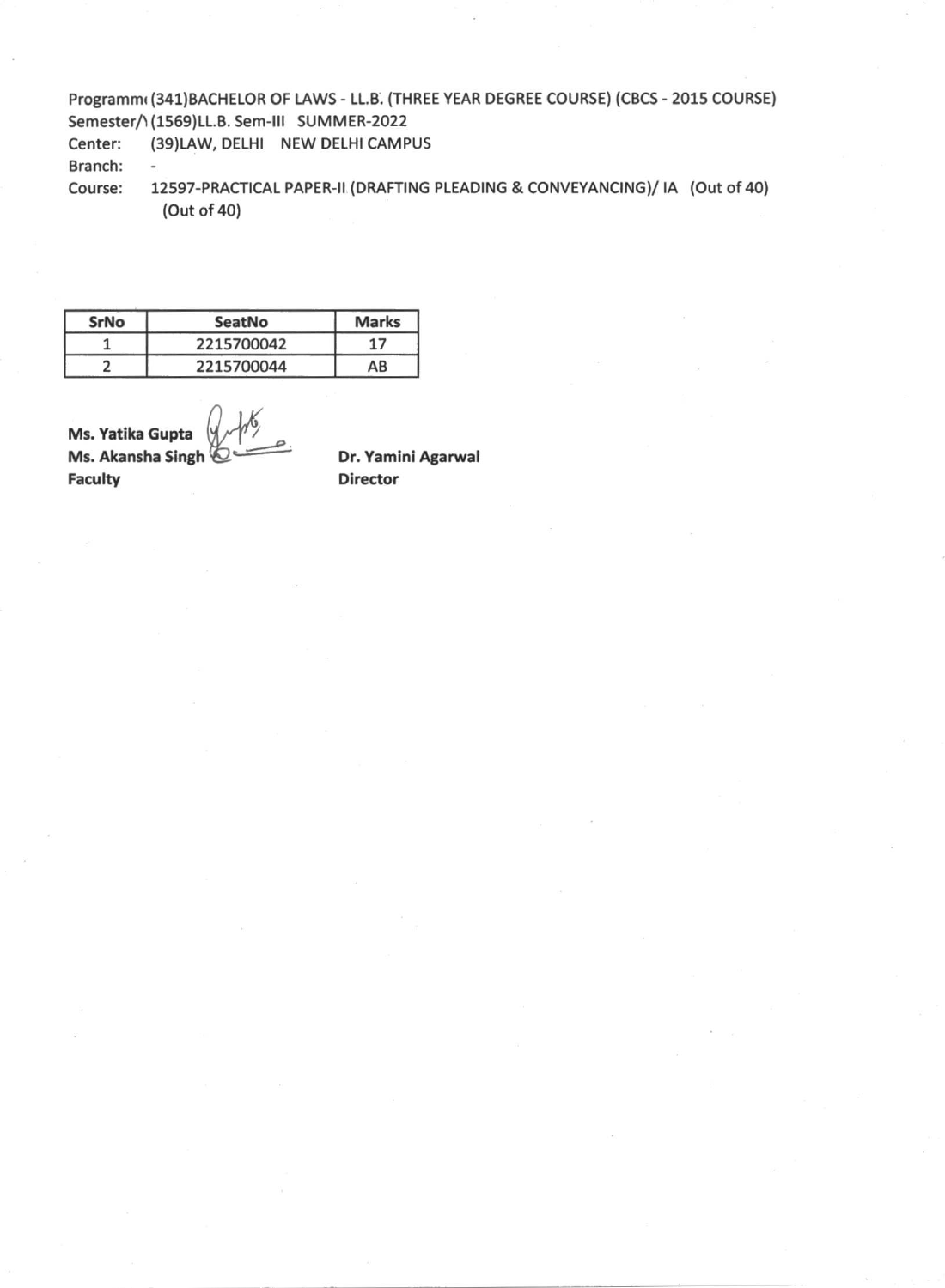## Programmi (341)BACHELOR OF LAWS - LL.B. (THREE YEAR DEGREE COURSE) (CBCS - 2015 COURSE) Semester/\(1569)LL.B. Sem-III SUMMER-2022

Center: (39)LAW, DELHI NEW DELHI CAMPUS

Branch: -

Course: 12597-PRACTICAL PAPER-II (DRAFTING PLEADING & CONVEYANCING)/ IA (Out of 40) (Out of 40)

| SrNo | SeatNo     | <b>Marks</b> |
|------|------------|--------------|
|      | 2215700042 | 17           |
|      | 2215700044 | AB           |

**Ms. Yatika Gupta Ms. Akansha Singh Faculty**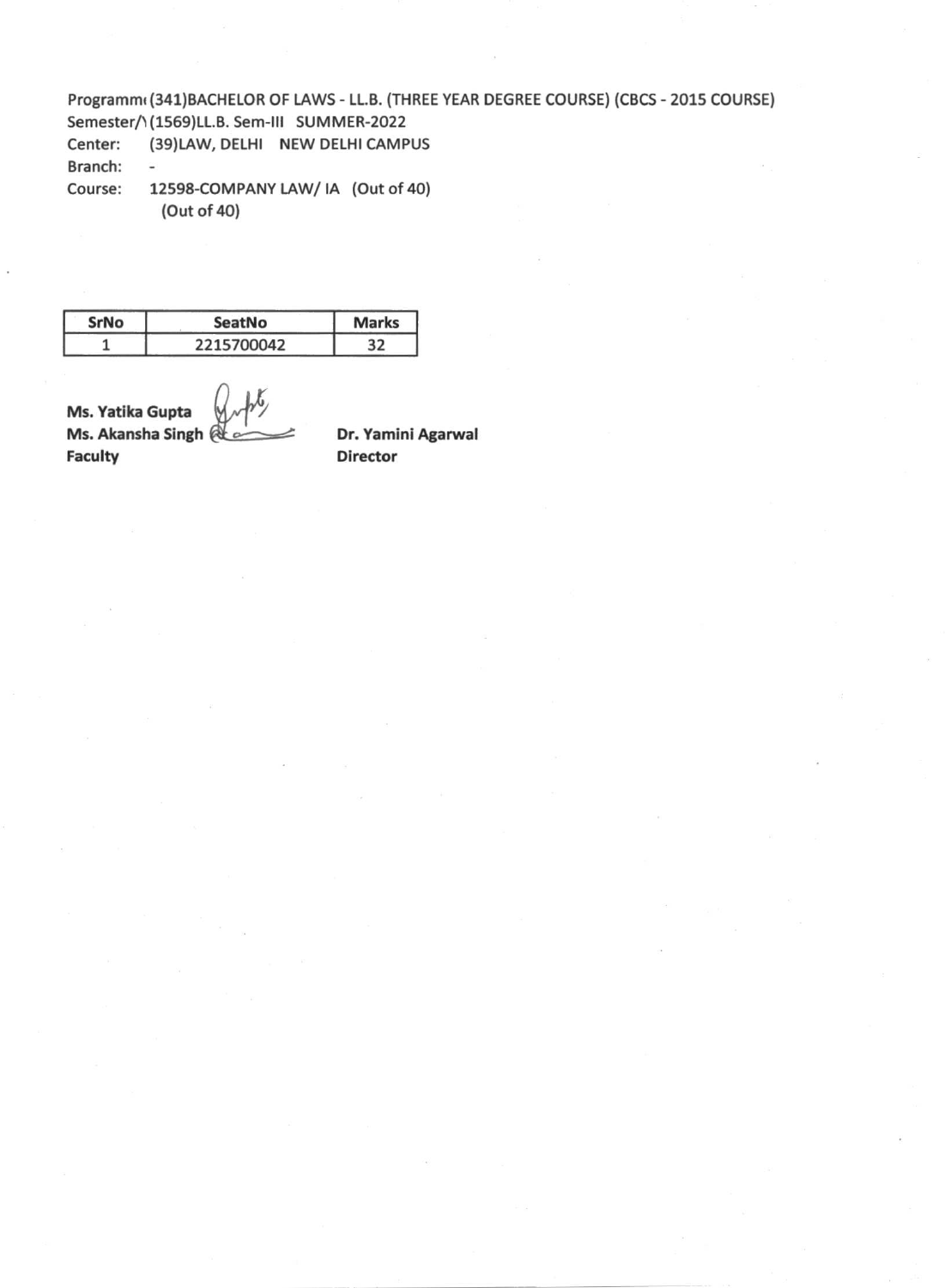Programmi (341)BACHELOR OF LAWS - LL.B. (THREE YEAR DEGREE COURSE) (CBCS - 2015 COURSE) Semester/1(1569)LL.B. Sem-III SUMMER-2022

- Center: (39)LAW, DELHI NEW DELHI CAMPUS Branch:  $\overline{\phantom{a}}$
- Course: 12598-COMPANY LAW/ IA (Out of 40) (Out of 40)

| SrNo | SeatNo     | <b>Marks</b> |
|------|------------|--------------|
|      | 2215700042 | 32           |

**Ms. Yatika Gupta Ms. Akansha Singh Faculty**